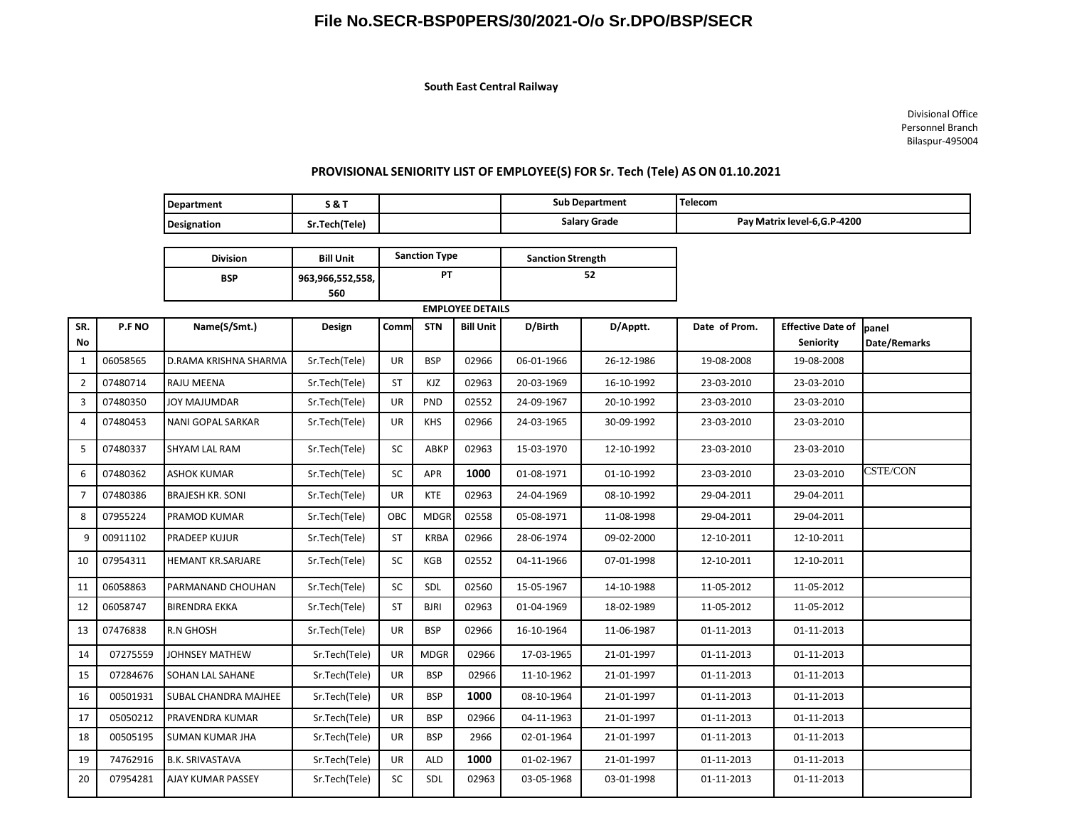## **File No.SECR-BSP0PERS/30/2021-O/o Sr.DPO/BSP/SECR**

 **South East Central Railway**

**Division Bill** Unit **Sanction Type Sanction Strength** 

Divisional Office Personnel Branch Bilaspur-495004

## **PROVISIONAL SENIORITY LIST OF EMPLOYEE(S) FOR Sr. Tech (Tele) AS ON 01.10.2021**

| Department         | <b>S&amp;T</b> | <b>Sub Department</b> | 'Telecom                     |
|--------------------|----------------|-----------------------|------------------------------|
| <b>Designation</b> | .Tech(Tele)    | Salary Grade          | Pay Matrix level-6, G.P-4200 |
|                    |                |                       |                              |

|                |          | <b>BSP</b>              | 963,966,552,558, | <b>PT</b>               |             | 52               |            |            |               |                          |              |
|----------------|----------|-------------------------|------------------|-------------------------|-------------|------------------|------------|------------|---------------|--------------------------|--------------|
|                |          |                         | 560              | <b>EMPLOYEE DETAILS</b> |             |                  |            |            |               |                          |              |
| SR.            | P.F NO   | Name(S/Smt.)            | Design           | Comm                    | <b>STN</b>  | <b>Bill Unit</b> | D/Birth    | D/Apptt.   | Date of Prom. | <b>Effective Date of</b> | banel        |
| No.            |          |                         |                  |                         |             |                  |            |            |               | Seniority                | Date/Remarks |
| 1              | 06058565 | D.RAMA KRISHNA SHARMA   | Sr.Tech(Tele)    | <b>UR</b>               | <b>BSP</b>  | 02966            | 06-01-1966 | 26-12-1986 | 19-08-2008    | 19-08-2008               |              |
| $\overline{2}$ | 07480714 | <b>RAJU MEENA</b>       | Sr.Tech(Tele)    | <b>ST</b>               | KJZ         | 02963            | 20-03-1969 | 16-10-1992 | 23-03-2010    | 23-03-2010               |              |
| 3              | 07480350 | JOY MAJUMDAR            | Sr.Tech(Tele)    | <b>UR</b>               | <b>PND</b>  | 02552            | 24-09-1967 | 20-10-1992 | 23-03-2010    | 23-03-2010               |              |
| 4              | 07480453 | NANI GOPAL SARKAR       | Sr.Tech(Tele)    | UR                      | <b>KHS</b>  | 02966            | 24-03-1965 | 30-09-1992 | 23-03-2010    | 23-03-2010               |              |
| 5              | 07480337 | <b>SHYAM LAL RAM</b>    | Sr.Tech(Tele)    | SC                      | ABKP        | 02963            | 15-03-1970 | 12-10-1992 | 23-03-2010    | 23-03-2010               |              |
| 6              | 07480362 | <b>ASHOK KUMAR</b>      | Sr.Tech(Tele)    | SC                      | <b>APR</b>  | 1000             | 01-08-1971 | 01-10-1992 | 23-03-2010    | 23-03-2010               | CSTE/CON     |
| $\overline{7}$ | 07480386 | <b>BRAJESH KR. SONI</b> | Sr.Tech(Tele)    | <b>UR</b>               | <b>KTE</b>  | 02963            | 24-04-1969 | 08-10-1992 | 29-04-2011    | 29-04-2011               |              |
| 8              | 07955224 | PRAMOD KUMAR            | Sr.Tech(Tele)    | OBC                     | <b>MDGR</b> | 02558            | 05-08-1971 | 11-08-1998 | 29-04-2011    | 29-04-2011               |              |
| 9              | 00911102 | PRADEEP KUJUR           | Sr.Tech(Tele)    | <b>ST</b>               | <b>KRBA</b> | 02966            | 28-06-1974 | 09-02-2000 | 12-10-2011    | 12-10-2011               |              |
| 10             | 07954311 | HEMANT KR.SARJARE       | Sr.Tech(Tele)    | <b>SC</b>               | KGB         | 02552            | 04-11-1966 | 07-01-1998 | 12-10-2011    | 12-10-2011               |              |
| 11             | 06058863 | PARMANAND CHOUHAN       | Sr.Tech(Tele)    | <b>SC</b>               | SDL         | 02560            | 15-05-1967 | 14-10-1988 | 11-05-2012    | 11-05-2012               |              |
| 12             | 06058747 | <b>BIRENDRA EKKA</b>    | Sr.Tech(Tele)    | <b>ST</b>               | <b>BJRI</b> | 02963            | 01-04-1969 | 18-02-1989 | 11-05-2012    | 11-05-2012               |              |
| 13             | 07476838 | R.N GHOSH               | Sr.Tech(Tele)    | UR                      | <b>BSP</b>  | 02966            | 16-10-1964 | 11-06-1987 | 01-11-2013    | 01-11-2013               |              |
| 14             | 07275559 | JOHNSEY MATHEW          | Sr.Tech(Tele)    | <b>UR</b>               | <b>MDGR</b> | 02966            | 17-03-1965 | 21-01-1997 | 01-11-2013    | 01-11-2013               |              |
| 15             | 07284676 | SOHAN LAL SAHANE        | Sr.Tech(Tele)    | UR.                     | <b>BSP</b>  | 02966            | 11-10-1962 | 21-01-1997 | 01-11-2013    | 01-11-2013               |              |
| 16             | 00501931 | SUBAL CHANDRA MAJHEE    | Sr.Tech(Tele)    | UR                      | <b>BSP</b>  | 1000             | 08-10-1964 | 21-01-1997 | 01-11-2013    | 01-11-2013               |              |
| 17             | 05050212 | PRAVENDRA KUMAR         | Sr.Tech(Tele)    | <b>UR</b>               | <b>BSP</b>  | 02966            | 04-11-1963 | 21-01-1997 | 01-11-2013    | 01-11-2013               |              |
| 18             | 00505195 | SUMAN KUMAR JHA         | Sr.Tech(Tele)    | <b>UR</b>               | <b>BSP</b>  | 2966             | 02-01-1964 | 21-01-1997 | 01-11-2013    | 01-11-2013               |              |
| 19             | 74762916 | <b>B.K. SRIVASTAVA</b>  | Sr.Tech(Tele)    | <b>UR</b>               | <b>ALD</b>  | 1000             | 01-02-1967 | 21-01-1997 | 01-11-2013    | 01-11-2013               |              |
| 20             | 07954281 | AJAY KUMAR PASSEY       | Sr.Tech(Tele)    | SC                      | SDL         | 02963            | 03-05-1968 | 03-01-1998 | 01-11-2013    | 01-11-2013               |              |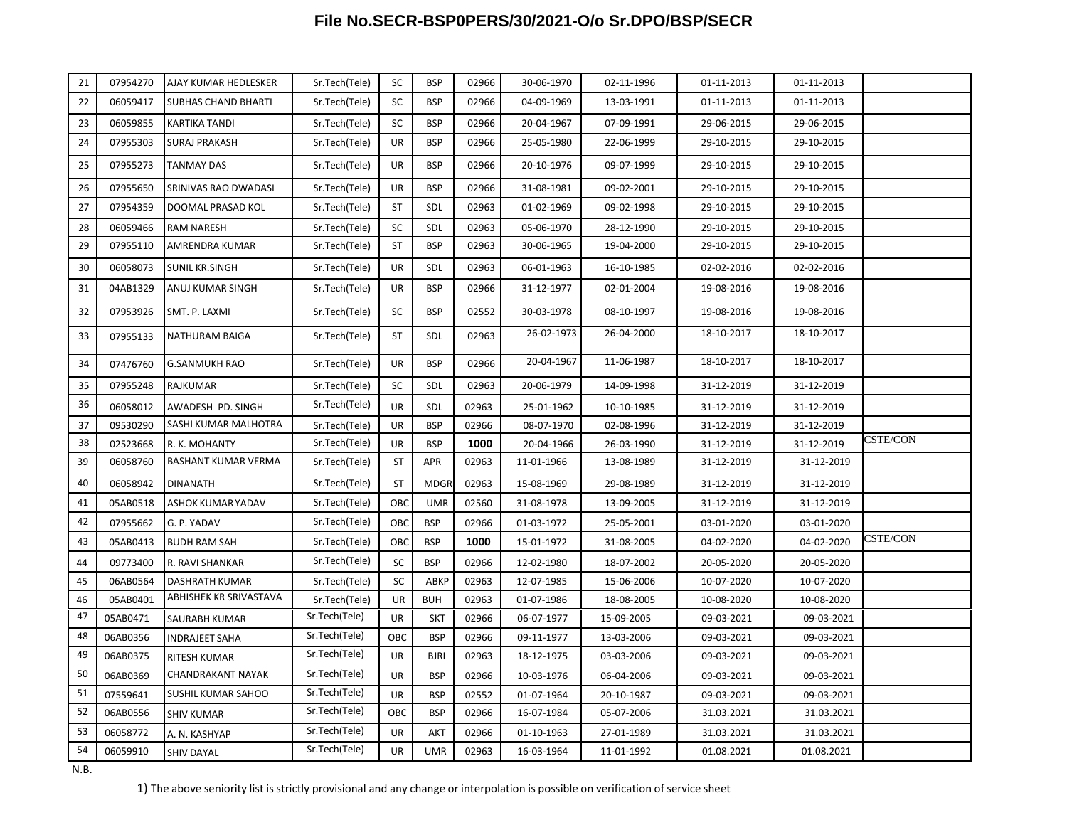## **File No.SECR-BSP0PERS/30/2021-O/o Sr.DPO/BSP/SECR**

| 21 | 07954270 | AJAY KUMAR HEDLESKER       | Sr.Tech(Tele) | <b>SC</b> | <b>BSP</b>  | 02966 | 30-06-1970 | 02-11-1996 | 01-11-2013 | 01-11-2013 |                 |
|----|----------|----------------------------|---------------|-----------|-------------|-------|------------|------------|------------|------------|-----------------|
| 22 | 06059417 | <b>SUBHAS CHAND BHARTI</b> | Sr.Tech(Tele) | SC        | <b>BSP</b>  | 02966 | 04-09-1969 | 13-03-1991 | 01-11-2013 | 01-11-2013 |                 |
| 23 | 06059855 | KARTIKA TANDI              | Sr.Tech(Tele) | SC        | <b>BSP</b>  | 02966 | 20-04-1967 | 07-09-1991 | 29-06-2015 | 29-06-2015 |                 |
| 24 | 07955303 | <b>SURAJ PRAKASH</b>       | Sr.Tech(Tele) | UR        | <b>BSP</b>  | 02966 | 25-05-1980 | 22-06-1999 | 29-10-2015 | 29-10-2015 |                 |
| 25 | 07955273 | <b>TANMAY DAS</b>          | Sr.Tech(Tele) | UR        | <b>BSP</b>  | 02966 | 20-10-1976 | 09-07-1999 | 29-10-2015 | 29-10-2015 |                 |
| 26 | 07955650 | SRINIVAS RAO DWADASI       | Sr.Tech(Tele) | UR        | <b>BSP</b>  | 02966 | 31-08-1981 | 09-02-2001 | 29-10-2015 | 29-10-2015 |                 |
| 27 | 07954359 | DOOMAL PRASAD KOL          | Sr.Tech(Tele) | ST        | SDL         | 02963 | 01-02-1969 | 09-02-1998 | 29-10-2015 | 29-10-2015 |                 |
| 28 | 06059466 | <b>RAM NARESH</b>          | Sr.Tech(Tele) | SC        | SDL         | 02963 | 05-06-1970 | 28-12-1990 | 29-10-2015 | 29-10-2015 |                 |
| 29 | 07955110 | AMRENDRA KUMAR             | Sr.Tech(Tele) | ST        | <b>BSP</b>  | 02963 | 30-06-1965 | 19-04-2000 | 29-10-2015 | 29-10-2015 |                 |
| 30 | 06058073 | SUNIL KR.SINGH             | Sr.Tech(Tele) | UR        | SDL         | 02963 | 06-01-1963 | 16-10-1985 | 02-02-2016 | 02-02-2016 |                 |
| 31 | 04AB1329 | ANUJ KUMAR SINGH           | Sr.Tech(Tele) | UR        | <b>BSP</b>  | 02966 | 31-12-1977 | 02-01-2004 | 19-08-2016 | 19-08-2016 |                 |
| 32 | 07953926 | SMT. P. LAXMI              | Sr.Tech(Tele) | sc        | <b>BSP</b>  | 02552 | 30-03-1978 | 08-10-1997 | 19-08-2016 | 19-08-2016 |                 |
| 33 | 07955133 | NATHURAM BAIGA             | Sr.Tech(Tele) | ST        | SDL         | 02963 | 26-02-1973 | 26-04-2000 | 18-10-2017 | 18-10-2017 |                 |
| 34 | 07476760 | <b>G.SANMUKH RAO</b>       | Sr.Tech(Tele) | UR        | <b>BSP</b>  | 02966 | 20-04-1967 | 11-06-1987 | 18-10-2017 | 18-10-2017 |                 |
| 35 | 07955248 | RAJKUMAR                   | Sr.Tech(Tele) | <b>SC</b> | SDL         | 02963 | 20-06-1979 | 14-09-1998 | 31-12-2019 | 31-12-2019 |                 |
| 36 | 06058012 | AWADESH PD. SINGH          | Sr.Tech(Tele) | UR        | SDL         | 02963 | 25-01-1962 | 10-10-1985 | 31-12-2019 | 31-12-2019 |                 |
| 37 | 09530290 | SASHI KUMAR MALHOTRA       | Sr.Tech(Tele) | UR        | <b>BSP</b>  | 02966 | 08-07-1970 | 02-08-1996 | 31-12-2019 | 31-12-2019 |                 |
| 38 | 02523668 | R. K. MOHANTY              | Sr.Tech(Tele) | UR        | <b>BSP</b>  | 1000  | 20-04-1966 | 26-03-1990 | 31-12-2019 | 31-12-2019 | <b>CSTE/CON</b> |
| 39 | 06058760 | BASHANT KUMAR VERMA        | Sr.Tech(Tele) | <b>ST</b> | APR         | 02963 | 11-01-1966 | 13-08-1989 | 31-12-2019 | 31-12-2019 |                 |
| 40 | 06058942 | <b>DINANATH</b>            | Sr.Tech(Tele) | <b>ST</b> | <b>MDGR</b> | 02963 | 15-08-1969 | 29-08-1989 | 31-12-2019 | 31-12-2019 |                 |
| 41 | 05AB0518 | ASHOK KUMAR YADAV          | Sr.Tech(Tele) | OBC       | <b>UMR</b>  | 02560 | 31-08-1978 | 13-09-2005 | 31-12-2019 | 31-12-2019 |                 |
| 42 | 07955662 | G. P. YADAV                | Sr.Tech(Tele) | OBC       | <b>BSP</b>  | 02966 | 01-03-1972 | 25-05-2001 | 03-01-2020 | 03-01-2020 |                 |
| 43 | 05AB0413 | <b>BUDH RAM SAH</b>        | Sr.Tech(Tele) | OBC       | <b>BSP</b>  | 1000  | 15-01-1972 | 31-08-2005 | 04-02-2020 | 04-02-2020 | CSTE/CON        |
| 44 | 09773400 | R. RAVI SHANKAR            | Sr.Tech(Tele) | <b>SC</b> | <b>BSP</b>  | 02966 | 12-02-1980 | 18-07-2002 | 20-05-2020 | 20-05-2020 |                 |
| 45 | 06AB0564 | DASHRATH KUMAR             | Sr.Tech(Tele) | <b>SC</b> | ABKP        | 02963 | 12-07-1985 | 15-06-2006 | 10-07-2020 | 10-07-2020 |                 |
| 46 | 05AB0401 | ABHISHEK KR SRIVASTAVA     | Sr.Tech(Tele) | UR        | <b>BUH</b>  | 02963 | 01-07-1986 | 18-08-2005 | 10-08-2020 | 10-08-2020 |                 |
| 47 | 05AB0471 | SAURABH KUMAR              | Sr.Tech(Tele) | UR        | SKT         | 02966 | 06-07-1977 | 15-09-2005 | 09-03-2021 | 09-03-2021 |                 |
| 48 | 06AB0356 | <b>INDRAJEET SAHA</b>      | Sr.Tech(Tele) | OBC       | <b>BSP</b>  | 02966 | 09-11-1977 | 13-03-2006 | 09-03-2021 | 09-03-2021 |                 |
| 49 | 06AB0375 | <b>RITESH KUMAR</b>        | Sr.Tech(Tele) | UR        | <b>BJRI</b> | 02963 | 18-12-1975 | 03-03-2006 | 09-03-2021 | 09-03-2021 |                 |
| 50 | 06AB0369 | CHANDRAKANT NAYAK          | Sr.Tech(Tele) | UR        | <b>BSP</b>  | 02966 | 10-03-1976 | 06-04-2006 | 09-03-2021 | 09-03-2021 |                 |
| 51 | 07559641 | SUSHIL KUMAR SAHOO         | Sr.Tech(Tele) | UR        | <b>BSP</b>  | 02552 | 01-07-1964 | 20-10-1987 | 09-03-2021 | 09-03-2021 |                 |
| 52 | 06AB0556 | <b>SHIV KUMAR</b>          | Sr.Tech(Tele) | OBC       | <b>BSP</b>  | 02966 | 16-07-1984 | 05-07-2006 | 31.03.2021 | 31.03.2021 |                 |
| 53 | 06058772 | A. N. KASHYAP              | Sr.Tech(Tele) | UR        | AKT         | 02966 | 01-10-1963 | 27-01-1989 | 31.03.2021 | 31.03.2021 |                 |
| 54 | 06059910 | <b>SHIV DAYAL</b>          | Sr.Tech(Tele) | <b>UR</b> | <b>UMR</b>  | 02963 | 16-03-1964 | 11-01-1992 | 01.08.2021 | 01.08.2021 |                 |

N.B.

1) The above seniority list is strictly provisional and any change or interpolation is possible on verification of service sheet